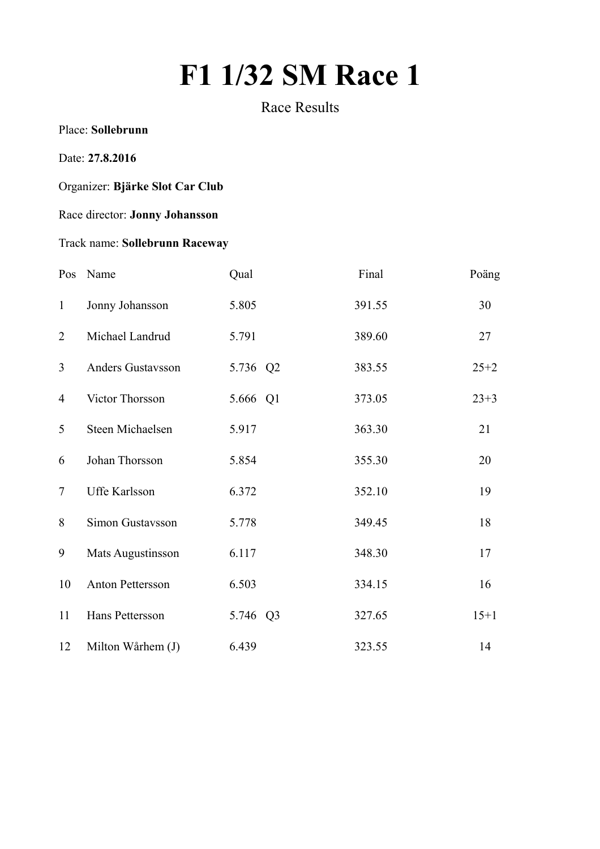# **F1 1/32 SM Race 1**

Race Results

Place: **Sollebrunn**

#### Date: **27.8.2016**

## Organizer: **Bjärke Slot Car Club**

### Race director: **Jonny Johansson**

## Track name: **Sollebrunn Raceway**

|                | Pos Name          | Qual     | Final  | Poäng    |
|----------------|-------------------|----------|--------|----------|
| $\mathbf{1}$   | Jonny Johansson   | 5.805    | 391.55 | 30       |
| 2              | Michael Landrud   | 5.791    | 389.60 | 27       |
| $\overline{3}$ | Anders Gustavsson | 5.736 Q2 | 383.55 | $25 + 2$ |
| $\overline{4}$ | Victor Thorsson   | 5.666 Q1 | 373.05 | $23 + 3$ |
| 5              | Steen Michaelsen  | 5.917    | 363.30 | 21       |
| 6              | Johan Thorsson    | 5.854    | 355.30 | 20       |
| $\overline{7}$ | Uffe Karlsson     | 6.372    | 352.10 | 19       |
| 8              | Simon Gustavsson  | 5.778    | 349.45 | 18       |
| 9              | Mats Augustinsson | 6.117    | 348.30 | 17       |
| 10             | Anton Pettersson  | 6.503    | 334.15 | 16       |
| 11             | Hans Pettersson   | 5.746 Q3 | 327.65 | $15+1$   |
| 12             | Milton Wårhem (J) | 6.439    | 323.55 | 14       |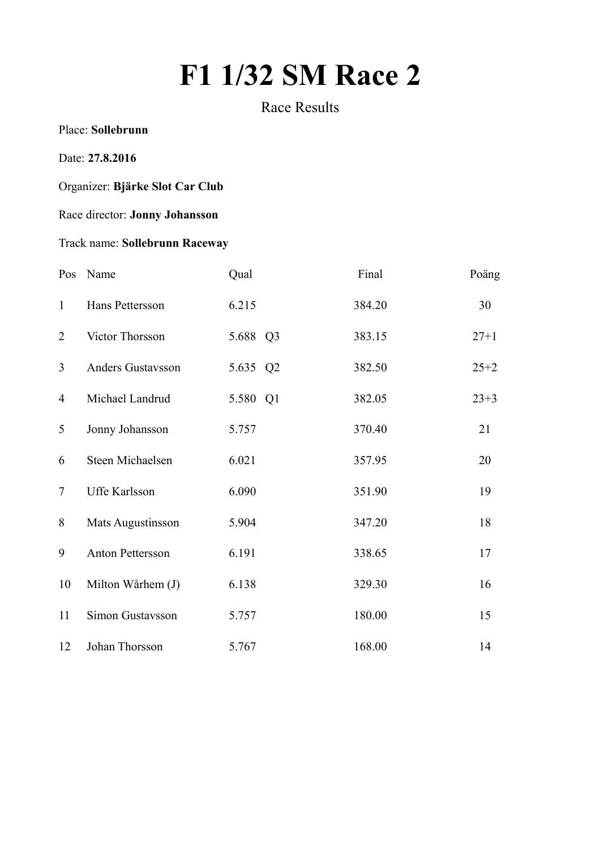# **F1 1/32 SM Race 2**

Race Results

Place: **Sollebrunn**

#### Date: **27.8.2016**

## Organizer: **Bjärke Slot Car Club**

### Race director: **Jonny Johansson**

## Track name: **Sollebrunn Raceway**

|                | Pos Name          | Qual     | Final  | Poäng    |
|----------------|-------------------|----------|--------|----------|
| $\mathbf{1}$   | Hans Pettersson   | 6.215    | 384.20 | 30       |
| 2              | Victor Thorsson   | 5.688 Q3 | 383.15 | $27 + 1$ |
| $\overline{3}$ | Anders Gustavsson | 5.635 Q2 | 382.50 | $25 + 2$ |
| $\overline{4}$ | Michael Landrud   | 5.580 Q1 | 382.05 | $23 + 3$ |
| 5              | Jonny Johansson   | 5.757    | 370.40 | 21       |
| 6              | Steen Michaelsen  | 6.021    | 357.95 | 20       |
| $\overline{7}$ | Uffe Karlsson     | 6.090    | 351.90 | 19       |
| 8              | Mats Augustinsson | 5.904    | 347.20 | 18       |
| 9              | Anton Pettersson  | 6.191    | 338.65 | 17       |
| 10             | Milton Wårhem (J) | 6.138    | 329.30 | 16       |
| 11             | Simon Gustavsson  | 5.757    | 180.00 | 15       |
| 12             | Johan Thorsson    | 5.767    | 168.00 | 14       |